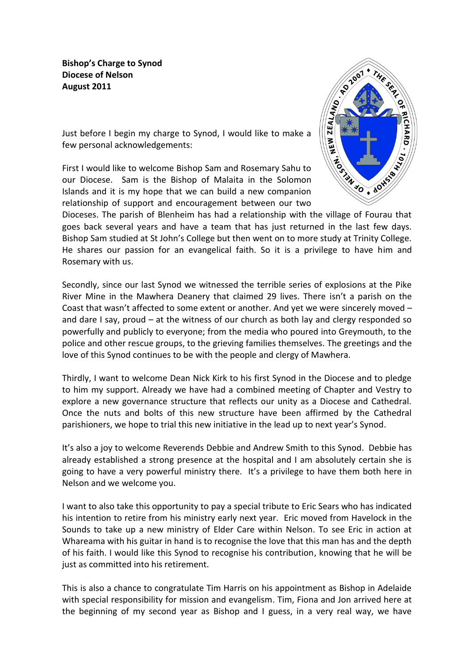**Bishop's Charge to Synod Diocese of Nelson August 2011**



Just before I begin my charge to Synod, I would like to make a few personal acknowledgements:

First I would like to welcome Bishop Sam and Rosemary Sahu to our Diocese. Sam is the Bishop of Malaita in the Solomon Islands and it is my hope that we can build a new companion relationship of support and encouragement between our two

Dioceses. The parish of Blenheim has had a relationship with the village of Fourau that goes back several years and have a team that has just returned in the last few days. Bishop Sam studied at St John's College but then went on to more study at Trinity College. He shares our passion for an evangelical faith. So it is a privilege to have him and Rosemary with us.

Secondly, since our last Synod we witnessed the terrible series of explosions at the Pike River Mine in the Mawhera Deanery that claimed 29 lives. There isn't a parish on the Coast that wasn't affected to some extent or another. And yet we were sincerely moved – and dare I say, proud – at the witness of our church as both lay and clergy responded so powerfully and publicly to everyone; from the media who poured into Greymouth, to the police and other rescue groups, to the grieving families themselves. The greetings and the love of this Synod continues to be with the people and clergy of Mawhera.

Thirdly, I want to welcome Dean Nick Kirk to his first Synod in the Diocese and to pledge to him my support. Already we have had a combined meeting of Chapter and Vestry to explore a new governance structure that reflects our unity as a Diocese and Cathedral. Once the nuts and bolts of this new structure have been affirmed by the Cathedral parishioners, we hope to trial this new initiative in the lead up to next year's Synod.

It's also a joy to welcome Reverends Debbie and Andrew Smith to this Synod. Debbie has already established a strong presence at the hospital and I am absolutely certain she is going to have a very powerful ministry there. It's a privilege to have them both here in Nelson and we welcome you.

I want to also take this opportunity to pay a special tribute to Eric Sears who has indicated his intention to retire from his ministry early next year. Eric moved from Havelock in the Sounds to take up a new ministry of Elder Care within Nelson. To see Eric in action at Whareama with his guitar in hand is to recognise the love that this man has and the depth of his faith. I would like this Synod to recognise his contribution, knowing that he will be just as committed into his retirement.

This is also a chance to congratulate Tim Harris on his appointment as Bishop in Adelaide with special responsibility for mission and evangelism. Tim, Fiona and Jon arrived here at the beginning of my second year as Bishop and I guess, in a very real way, we have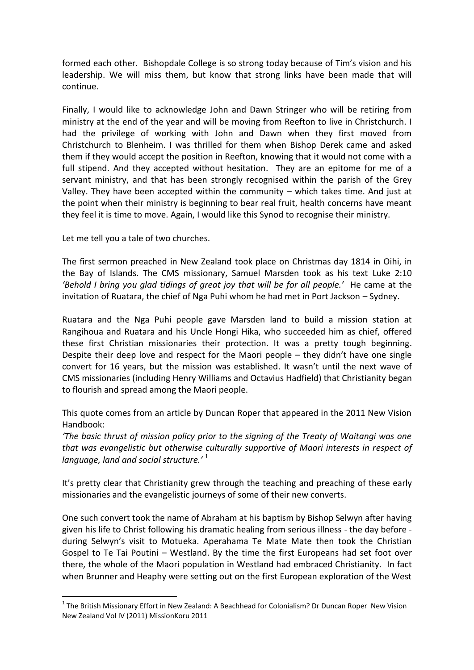formed each other. Bishopdale College is so strong today because of Tim's vision and his leadership. We will miss them, but know that strong links have been made that will continue.

Finally, I would like to acknowledge John and Dawn Stringer who will be retiring from ministry at the end of the year and will be moving from Reefton to live in Christchurch. I had the privilege of working with John and Dawn when they first moved from Christchurch to Blenheim. I was thrilled for them when Bishop Derek came and asked them if they would accept the position in Reefton, knowing that it would not come with a full stipend. And they accepted without hesitation. They are an epitome for me of a servant ministry, and that has been strongly recognised within the parish of the Grey Valley. They have been accepted within the community – which takes time. And just at the point when their ministry is beginning to bear real fruit, health concerns have meant they feel it is time to move. Again, I would like this Synod to recognise their ministry.

Let me tell you a tale of two churches.

**.** 

The first sermon preached in New Zealand took place on Christmas day 1814 in Oihi, in the Bay of Islands. The CMS missionary, Samuel Marsden took as his text Luke 2:10 *'Behold I bring you glad tidings of great joy that will be for all people.'* He came at the invitation of Ruatara, the chief of Nga Puhi whom he had met in Port Jackson – Sydney.

Ruatara and the Nga Puhi people gave Marsden land to build a mission station at Rangihoua and Ruatara and his Uncle Hongi Hika, who succeeded him as chief, offered these first Christian missionaries their protection. It was a pretty tough beginning. Despite their deep love and respect for the Maori people – they didn't have one single convert for 16 years, but the mission was established. It wasn't until the next wave of CMS missionaries (including Henry Williams and Octavius Hadfield) that Christianity began to flourish and spread among the Maori people.

This quote comes from an article by Duncan Roper that appeared in the 2011 New Vision Handbook:

*'The basic thrust of mission policy prior to the signing of the Treaty of Waitangi was one that was evangelistic but otherwise culturally supportive of Maori interests in respect of language, land and social structure.'* <sup>1</sup>

It's pretty clear that Christianity grew through the teaching and preaching of these early missionaries and the evangelistic journeys of some of their new converts.

One such convert took the name of Abraham at his baptism by Bishop Selwyn after having given his life to Christ following his dramatic healing from serious illness - the day before during Selwyn's visit to Motueka. Aperahama Te Mate Mate then took the Christian Gospel to Te Tai Poutini – Westland. By the time the first Europeans had set foot over there, the whole of the Maori population in Westland had embraced Christianity. In fact when Brunner and Heaphy were setting out on the first European exploration of the West

 $1$  The British Missionary Effort in New Zealand: A Beachhead for Colonialism? Dr Duncan Roper New Vision New Zealand Vol IV (2011) MissionKoru 2011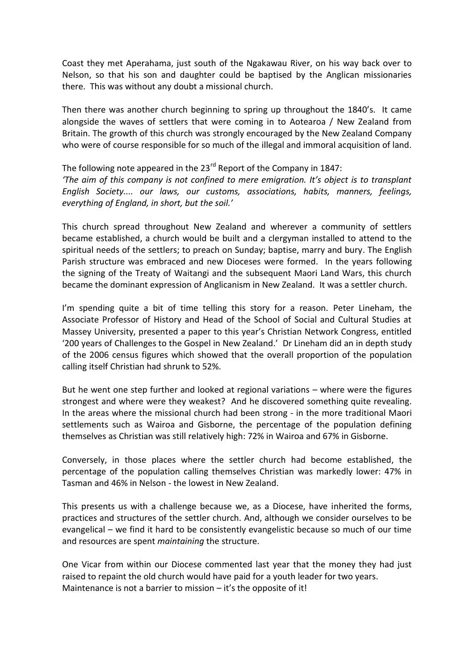Coast they met Aperahama, just south of the Ngakawau River, on his way back over to Nelson, so that his son and daughter could be baptised by the Anglican missionaries there. This was without any doubt a missional church.

Then there was another church beginning to spring up throughout the 1840's. It came alongside the waves of settlers that were coming in to Aotearoa / New Zealand from Britain. The growth of this church was strongly encouraged by the New Zealand Company who were of course responsible for so much of the illegal and immoral acquisition of land.

The following note appeared in the  $23<sup>rd</sup>$  Report of the Company in 1847: *'The aim of this company is not confined to mere emigration. It's object is to transplant English Society.... our laws, our customs, associations, habits, manners, feelings, everything of England, in short, but the soil.'*

This church spread throughout New Zealand and wherever a community of settlers became established, a church would be built and a clergyman installed to attend to the spiritual needs of the settlers; to preach on Sunday; baptise, marry and bury. The English Parish structure was embraced and new Dioceses were formed. In the years following the signing of the Treaty of Waitangi and the subsequent Maori Land Wars, this church became the dominant expression of Anglicanism in New Zealand. It was a settler church.

I'm spending quite a bit of time telling this story for a reason. Peter Lineham, the Associate Professor of History and Head of the School of Social and Cultural Studies at Massey University, presented a paper to this year's Christian Network Congress, entitled '200 years of Challenges to the Gospel in New Zealand.' Dr Lineham did an in depth study of the 2006 census figures which showed that the overall proportion of the population calling itself Christian had shrunk to 52%.

But he went one step further and looked at regional variations – where were the figures strongest and where were they weakest? And he discovered something quite revealing. In the areas where the missional church had been strong - in the more traditional Maori settlements such as Wairoa and Gisborne, the percentage of the population defining themselves as Christian was still relatively high: 72% in Wairoa and 67% in Gisborne.

Conversely, in those places where the settler church had become established, the percentage of the population calling themselves Christian was markedly lower: 47% in Tasman and 46% in Nelson - the lowest in New Zealand.

This presents us with a challenge because we, as a Diocese, have inherited the forms, practices and structures of the settler church. And, although we consider ourselves to be evangelical – we find it hard to be consistently evangelistic because so much of our time and resources are spent *maintaining* the structure.

One Vicar from within our Diocese commented last year that the money they had just raised to repaint the old church would have paid for a youth leader for two years. Maintenance is not a barrier to mission – it's the opposite of it!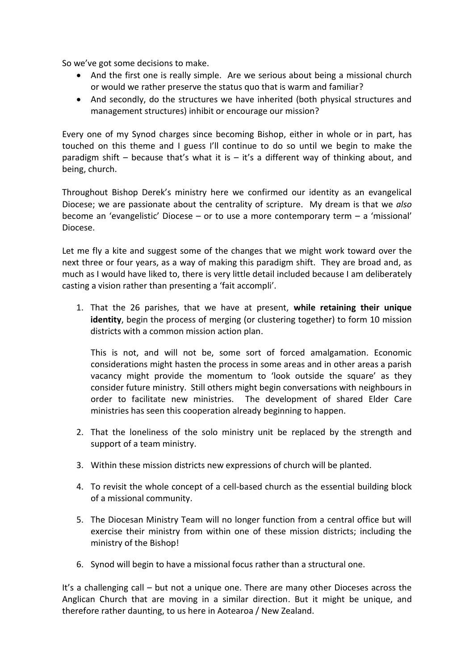So we've got some decisions to make.

- And the first one is really simple. Are we serious about being a missional church or would we rather preserve the status quo that is warm and familiar?
- And secondly, do the structures we have inherited (both physical structures and management structures) inhibit or encourage our mission?

Every one of my Synod charges since becoming Bishop, either in whole or in part, has touched on this theme and I guess I'll continue to do so until we begin to make the paradigm shift – because that's what it is – it's a different way of thinking about, and being, church.

Throughout Bishop Derek's ministry here we confirmed our identity as an evangelical Diocese; we are passionate about the centrality of scripture. My dream is that we *also* become an 'evangelistic' Diocese – or to use a more contemporary term – a 'missional' Diocese.

Let me fly a kite and suggest some of the changes that we might work toward over the next three or four years, as a way of making this paradigm shift. They are broad and, as much as I would have liked to, there is very little detail included because I am deliberately casting a vision rather than presenting a 'fait accompli'.

1. That the 26 parishes, that we have at present, **while retaining their unique identity**, begin the process of merging (or clustering together) to form 10 mission districts with a common mission action plan.

This is not, and will not be, some sort of forced amalgamation. Economic considerations might hasten the process in some areas and in other areas a parish vacancy might provide the momentum to 'look outside the square' as they consider future ministry. Still others might begin conversations with neighbours in order to facilitate new ministries. The development of shared Elder Care ministries has seen this cooperation already beginning to happen.

- 2. That the loneliness of the solo ministry unit be replaced by the strength and support of a team ministry.
- 3. Within these mission districts new expressions of church will be planted.
- 4. To revisit the whole concept of a cell-based church as the essential building block of a missional community.
- 5. The Diocesan Ministry Team will no longer function from a central office but will exercise their ministry from within one of these mission districts; including the ministry of the Bishop!
- 6. Synod will begin to have a missional focus rather than a structural one.

It's a challenging call – but not a unique one. There are many other Dioceses across the Anglican Church that are moving in a similar direction. But it might be unique, and therefore rather daunting, to us here in Aotearoa / New Zealand.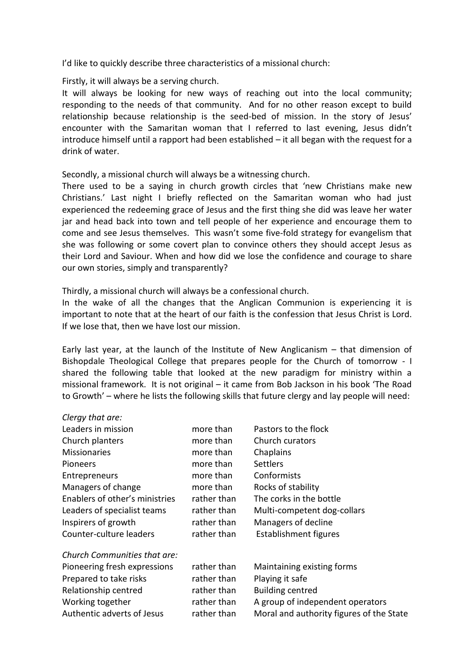I'd like to quickly describe three characteristics of a missional church:

Firstly, it will always be a serving church.

It will always be looking for new ways of reaching out into the local community; responding to the needs of that community. And for no other reason except to build relationship because relationship is the seed-bed of mission. In the story of Jesus' encounter with the Samaritan woman that I referred to last evening, Jesus didn't introduce himself until a rapport had been established – it all began with the request for a drink of water.

Secondly, a missional church will always be a witnessing church.

There used to be a saying in church growth circles that 'new Christians make new Christians.' Last night I briefly reflected on the Samaritan woman who had just experienced the redeeming grace of Jesus and the first thing she did was leave her water jar and head back into town and tell people of her experience and encourage them to come and see Jesus themselves. This wasn't some five-fold strategy for evangelism that she was following or some covert plan to convince others they should accept Jesus as their Lord and Saviour. When and how did we lose the confidence and courage to share our own stories, simply and transparently?

Thirdly, a missional church will always be a confessional church.

In the wake of all the changes that the Anglican Communion is experiencing it is important to note that at the heart of our faith is the confession that Jesus Christ is Lord. If we lose that, then we have lost our mission.

Early last year, at the launch of the Institute of New Anglicanism – that dimension of Bishopdale Theological College that prepares people for the Church of tomorrow - I shared the following table that looked at the new paradigm for ministry within a missional framework. It is not original – it came from Bob Jackson in his book 'The Road to Growth' – where he lists the following skills that future clergy and lay people will need:

| Clergy that are:               |             |                                          |
|--------------------------------|-------------|------------------------------------------|
| Leaders in mission             | more than   | Pastors to the flock                     |
| Church planters                | more than   | Church curators                          |
| <b>Missionaries</b>            | more than   | Chaplains                                |
| Pioneers                       | more than   | <b>Settlers</b>                          |
| <b>Entrepreneurs</b>           | more than   | Conformists                              |
| Managers of change             | more than   | Rocks of stability                       |
| Enablers of other's ministries | rather than | The corks in the bottle                  |
| Leaders of specialist teams    | rather than | Multi-competent dog-collars              |
| Inspirers of growth            | rather than | Managers of decline                      |
| Counter-culture leaders        | rather than | Establishment figures                    |
| Church Communities that are:   |             |                                          |
| Pioneering fresh expressions   | rather than | Maintaining existing forms               |
| Prepared to take risks         | rather than | Playing it safe                          |
| Relationship centred           | rather than | <b>Building centred</b>                  |
| Working together               | rather than | A group of independent operators         |
| Authentic adverts of Jesus     | rather than | Moral and authority figures of the State |
|                                |             |                                          |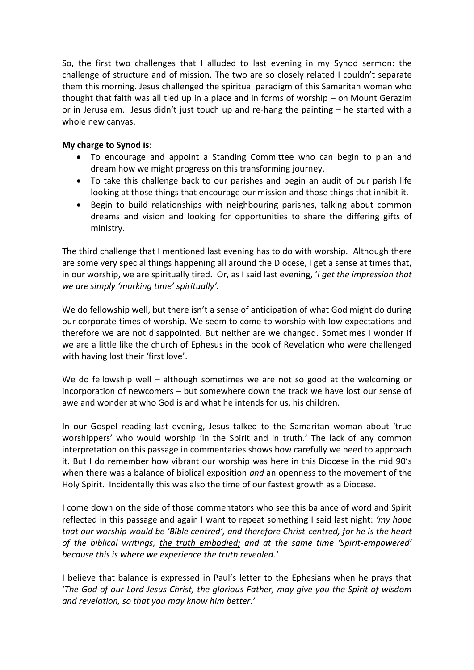So, the first two challenges that I alluded to last evening in my Synod sermon: the challenge of structure and of mission. The two are so closely related I couldn't separate them this morning. Jesus challenged the spiritual paradigm of this Samaritan woman who thought that faith was all tied up in a place and in forms of worship – on Mount Gerazim or in Jerusalem. Jesus didn't just touch up and re-hang the painting – he started with a whole new canvas.

## **My charge to Synod is**:

- To encourage and appoint a Standing Committee who can begin to plan and dream how we might progress on this transforming journey.
- To take this challenge back to our parishes and begin an audit of our parish life looking at those things that encourage our mission and those things that inhibit it.
- Begin to build relationships with neighbouring parishes, talking about common dreams and vision and looking for opportunities to share the differing gifts of ministry.

The third challenge that I mentioned last evening has to do with worship. Although there are some very special things happening all around the Diocese, I get a sense at times that, in our worship, we are spiritually tired. Or, as I said last evening, '*I get the impression that we are simply 'marking time' spiritually'.* 

We do fellowship well, but there isn't a sense of anticipation of what God might do during our corporate times of worship. We seem to come to worship with low expectations and therefore we are not disappointed. But neither are we changed. Sometimes I wonder if we are a little like the church of Ephesus in the book of Revelation who were challenged with having lost their 'first love'.

We do fellowship well – although sometimes we are not so good at the welcoming or incorporation of newcomers – but somewhere down the track we have lost our sense of awe and wonder at who God is and what he intends for us, his children.

In our Gospel reading last evening, Jesus talked to the Samaritan woman about 'true worshippers' who would worship 'in the Spirit and in truth.' The lack of any common interpretation on this passage in commentaries shows how carefully we need to approach it. But I do remember how vibrant our worship was here in this Diocese in the mid 90's when there was a balance of biblical exposition *and* an openness to the movement of the Holy Spirit. Incidentally this was also the time of our fastest growth as a Diocese.

I come down on the side of those commentators who see this balance of word and Spirit reflected in this passage and again I want to repeat something I said last night: *'my hope that our worship would be 'Bible centred', and therefore Christ-centred, for he is the heart of the biblical writings, the truth embodied; and at the same time 'Spirit-empowered' because this is where we experience the truth revealed.'*

I believe that balance is expressed in Paul's letter to the Ephesians when he prays that '*The God of our Lord Jesus Christ, the glorious Father, may give you the Spirit of wisdom and revelation, so that you may know him better.'*